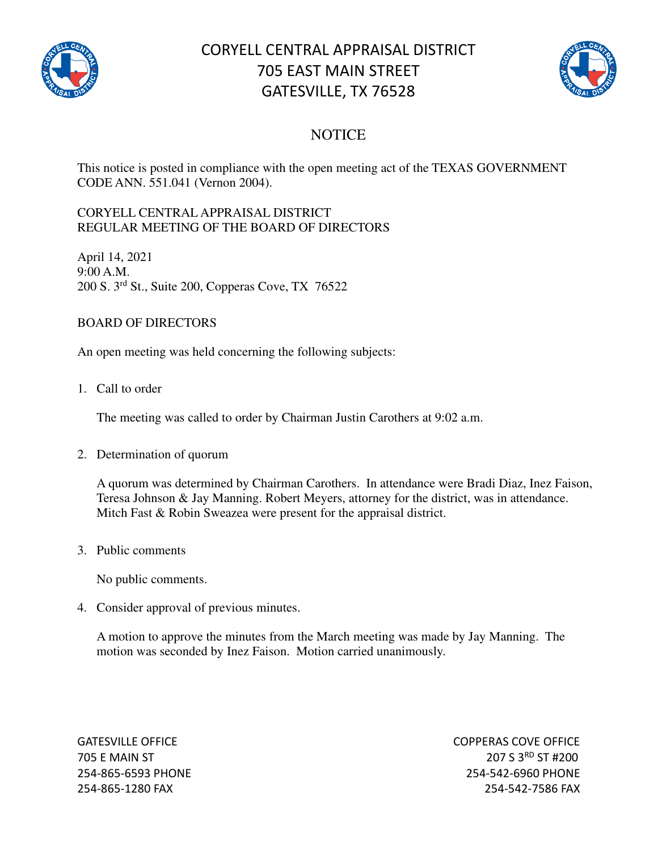

# CORYELL CENTRAL APPRAISAL DISTRICT 705 EAST MAIN STREET GATESVILLE, TX 76528



## **NOTICE**

This notice is posted in compliance with the open meeting act of the TEXAS GOVERNMENT CODE ANN. 551.041 (Vernon 2004).

#### CORYELL CENTRAL APPRAISAL DISTRICT REGULAR MEETING OF THE BOARD OF DIRECTORS

April 14, 2021 9:00 A.M. 200 S. 3rd St., Suite 200, Copperas Cove, TX 76522

### BOARD OF DIRECTORS

An open meeting was held concerning the following subjects:

1. Call to order

The meeting was called to order by Chairman Justin Carothers at 9:02 a.m.

#### 2. Determination of quorum

A quorum was determined by Chairman Carothers. In attendance were Bradi Diaz, Inez Faison, Teresa Johnson & Jay Manning. Robert Meyers, attorney for the district, was in attendance. Mitch Fast & Robin Sweazea were present for the appraisal district.

3. Public comments

No public comments.

4. Consider approval of previous minutes.

A motion to approve the minutes from the March meeting was made by Jay Manning. The motion was seconded by Inez Faison. Motion carried unanimously.

GATESVILLE OFFICE **COPPERAS COVE OF EXAMPLE 2** 705 E MAIN ST 207 S 3<sup>RD</sup> ST #200 254-865-6593 PHONE 254-542-6960 PHONE 254-865-1280 FAX 254-542-7586 FAX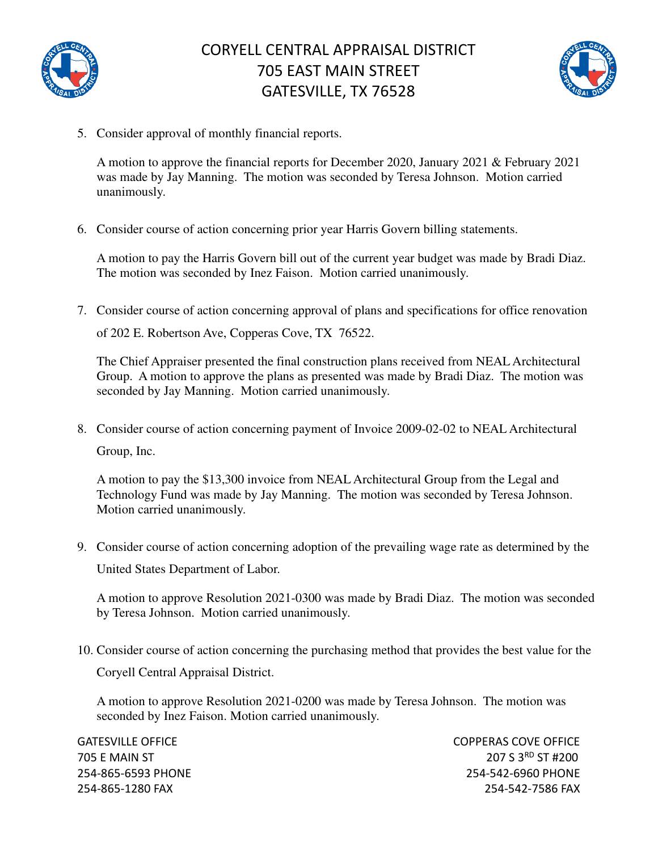



5. Consider approval of monthly financial reports.

A motion to approve the financial reports for December 2020, January 2021 & February 2021 was made by Jay Manning. The motion was seconded by Teresa Johnson. Motion carried unanimously.

6. Consider course of action concerning prior year Harris Govern billing statements.

A motion to pay the Harris Govern bill out of the current year budget was made by Bradi Diaz. The motion was seconded by Inez Faison. Motion carried unanimously.

7. Consider course of action concerning approval of plans and specifications for office renovation of 202 E. Robertson Ave, Copperas Cove, TX 76522.

The Chief Appraiser presented the final construction plans received from NEAL Architectural Group. A motion to approve the plans as presented was made by Bradi Diaz. The motion was seconded by Jay Manning. Motion carried unanimously.

8. Consider course of action concerning payment of Invoice 2009-02-02 to NEAL Architectural Group, Inc.

A motion to pay the \$13,300 invoice from NEAL Architectural Group from the Legal and Technology Fund was made by Jay Manning. The motion was seconded by Teresa Johnson. Motion carried unanimously.

9. Consider course of action concerning adoption of the prevailing wage rate as determined by the United States Department of Labor.

A motion to approve Resolution 2021-0300 was made by Bradi Diaz. The motion was seconded by Teresa Johnson. Motion carried unanimously.

10. Consider course of action concerning the purchasing method that provides the best value for the

Coryell Central Appraisal District.

A motion to approve Resolution 2021-0200 was made by Teresa Johnson. The motion was seconded by Inez Faison. Motion carried unanimously.

GATESVILLE OFFICE **COPPERAS COVE OF EXAMPLE 2** 705 E MAIN ST 207 S 3RD ST #200 254-865-6593 PHONE 254-542-6960 PHONE 254-865-1280 FAX 254-542-7586 FAX